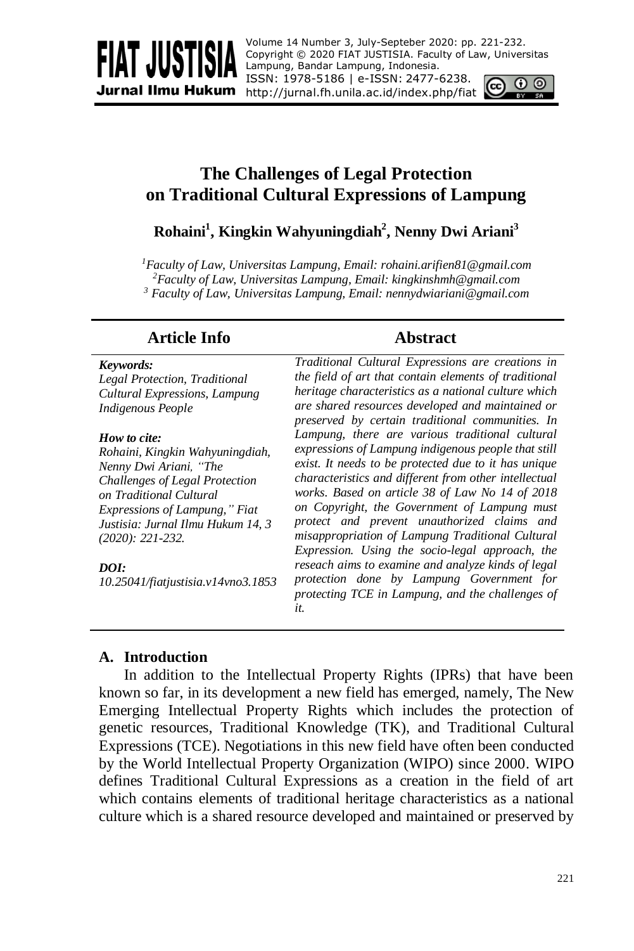Volume 14 Number 3, July-Septeber 2020: pp. 221-232. Copyright © 2020 FIAT JUSTISIA. Faculty of Law, Universitas Lampung, Bandar Lampung, Indonesia. ISSN: 1978-5186 | e-ISSN: 2477-6238. **Jurnal Ilmu Hukum** http://jurnal.fh.unila.ac.id/index.php/fiat  $\mathbb{C}$ 



# **The Challenges of Legal Protection on Traditional Cultural Expressions of Lampung**

## **Rohaini<sup>1</sup> , Kingkin Wahyuningdiah<sup>2</sup> , Nenny Dwi Ariani<sup>3</sup>**

*<sup>1</sup>Faculty of Law, Universitas Lampung, Email: [rohaini.arifien81@gmail.com](mailto:rohaini.arifien81@gmail.com) <sup>2</sup>Faculty of Law, Universitas Lampung, Email: [kingkinshmh@gmail.com](mailto:kingkinshmh@gmail.com) <sup>3</sup> Faculty of Law, Universitas Lampung, Email: nennydwiariani@gmail.com*

## **Article Info Abstract**

#### *Keywords:*

FIAT JUSTI

*Legal Protection, Traditional Cultural Expressions, Lampung Indigenous People*

#### *How to cite:*

*Rohaini, Kingkin Wahyuningdiah, Nenny Dwi Ariani, "The Challenges of Legal Protection on Traditional Cultural Expressions of Lampung," Fiat Justisia: Jurnal Ilmu Hukum 14, 3 (2020): 221-232.*

#### *DOI:*

*10.25041/fiatjustisia.v14vno3.1853*

*Traditional Cultural Expressions are creations in the field of art that contain elements of traditional heritage characteristics as a national culture which are shared resources developed and maintained or preserved by certain traditional communities. In Lampung, there are various traditional cultural expressions of Lampung indigenous people that still exist. It needs to be protected due to it has unique characteristics and different from other intellectual works. Based on article 38 of Law No 14 of 2018 on Copyright, the Government of Lampung must protect and prevent unauthorized claims and misappropriation of Lampung Traditional Cultural Expression. Using the socio-legal approach, the reseach aims to examine and analyze kinds of legal protection done by Lampung Government for protecting TCE in Lampung, and the challenges of it.* 

#### **A. Introduction**

In addition to the Intellectual Property Rights (IPRs) that have been known so far, in its development a new field has emerged, namely, The New Emerging Intellectual Property Rights which includes the protection of genetic resources, Traditional Knowledge (TK), and Traditional Cultural Expressions (TCE). Negotiations in this new field have often been conducted by the World Intellectual Property Organization (WIPO) since 2000. WIPO defines Traditional Cultural Expressions as a creation in the field of art which contains elements of traditional heritage characteristics as a national culture which is a shared resource developed and maintained or preserved by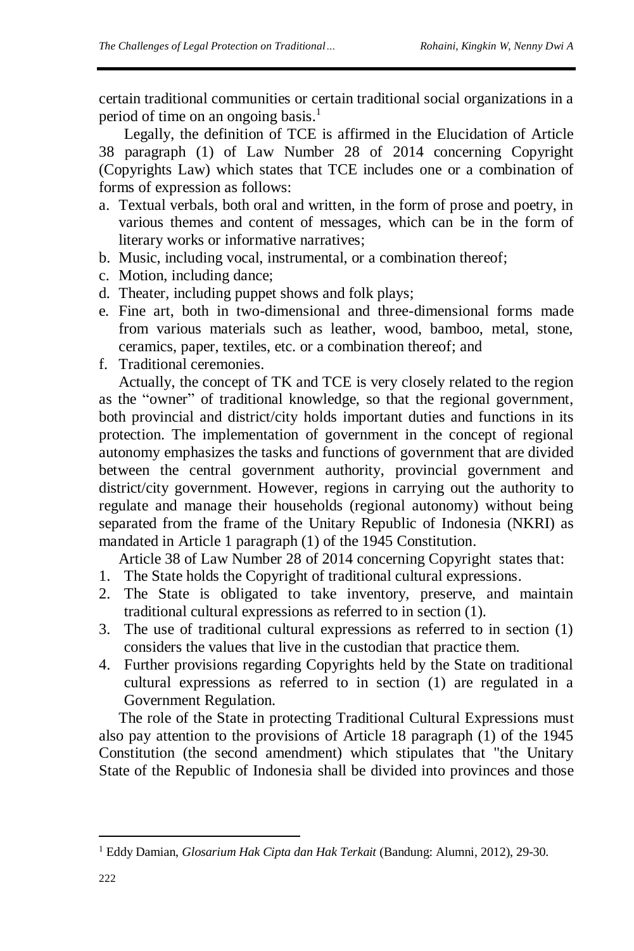certain traditional communities or certain traditional social organizations in a period of time on an ongoing basis.<sup>1</sup>

Legally, the definition of TCE is affirmed in the Elucidation of Article 38 paragraph (1) of Law Number 28 of 2014 concerning Copyright (Copyrights Law) which states that TCE includes one or a combination of forms of expression as follows:

- a. Textual verbals, both oral and written, in the form of prose and poetry, in various themes and content of messages, which can be in the form of literary works or informative narratives;
- b. Music, including vocal, instrumental, or a combination thereof;
- c. Motion, including dance;
- d. Theater, including puppet shows and folk plays;
- e. Fine art, both in two-dimensional and three-dimensional forms made from various materials such as leather, wood, bamboo, metal, stone, ceramics, paper, textiles, etc. or a combination thereof; and
- f. Traditional ceremonies.

Actually, the concept of TK and TCE is very closely related to the region as the "owner" of traditional knowledge, so that the regional government, both provincial and district/city holds important duties and functions in its protection. The implementation of government in the concept of regional autonomy emphasizes the tasks and functions of government that are divided between the central government authority, provincial government and district/city government. However, regions in carrying out the authority to regulate and manage their households (regional autonomy) without being separated from the frame of the Unitary Republic of Indonesia (NKRI) as mandated in Article 1 paragraph (1) of the 1945 Constitution.

Article 38 of Law Number 28 of 2014 concerning Copyright states that:

- 1. The State holds the Copyright of traditional cultural expressions.
- 2. The State is obligated to take inventory, preserve, and maintain traditional cultural expressions as referred to in section (1).
- 3. The use of traditional cultural expressions as referred to in section (1) considers the values that live in the custodian that practice them.
- 4. Further provisions regarding Copyrights held by the State on traditional cultural expressions as referred to in section (1) are regulated in a Government Regulation.

The role of the State in protecting Traditional Cultural Expressions must also pay attention to the provisions of Article 18 paragraph (1) of the 1945 Constitution (the second amendment) which stipulates that "the Unitary State of the Republic of Indonesia shall be divided into provinces and those

<u>.</u>

<sup>1</sup> Eddy Damian, *Glosarium Hak Cipta dan Hak Terkait* (Bandung: Alumni, 2012), 29-30.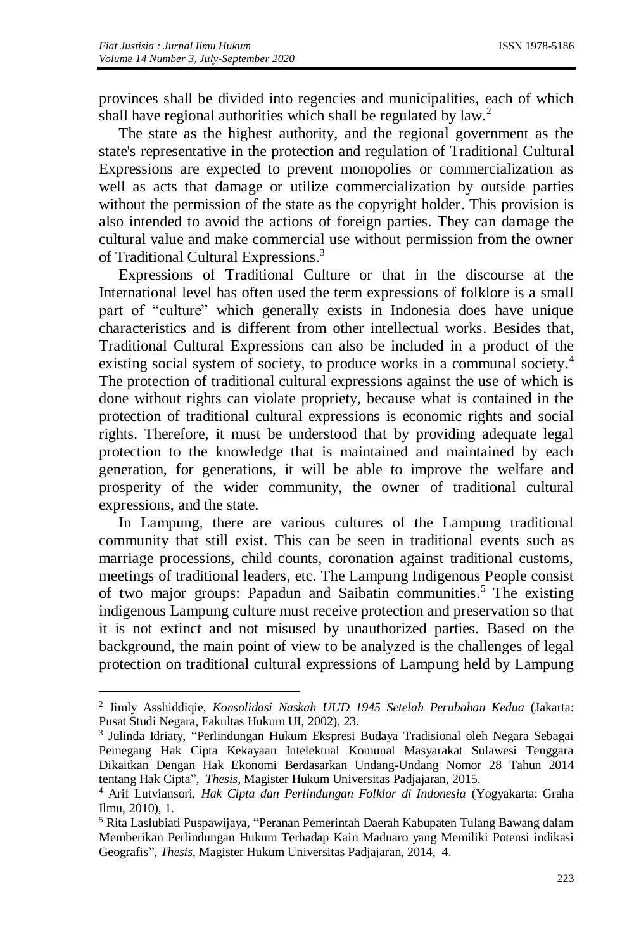<u>.</u>

provinces shall be divided into regencies and municipalities, each of which shall have regional authorities which shall be regulated by law.<sup>2</sup>

The state as the highest authority, and the regional government as the state's representative in the protection and regulation of Traditional Cultural Expressions are expected to prevent monopolies or commercialization as well as acts that damage or utilize commercialization by outside parties without the permission of the state as the copyright holder. This provision is also intended to avoid the actions of foreign parties. They can damage the cultural value and make commercial use without permission from the owner of Traditional Cultural Expressions.<sup>3</sup>

Expressions of Traditional Culture or that in the discourse at the International level has often used the term expressions of folklore is a small part of "culture" which generally exists in Indonesia does have unique characteristics and is different from other intellectual works. Besides that, Traditional Cultural Expressions can also be included in a product of the existing social system of society, to produce works in a communal society. 4 The protection of traditional cultural expressions against the use of which is done without rights can violate propriety, because what is contained in the protection of traditional cultural expressions is economic rights and social rights. Therefore, it must be understood that by providing adequate legal protection to the knowledge that is maintained and maintained by each generation, for generations, it will be able to improve the welfare and prosperity of the wider community, the owner of traditional cultural expressions, and the state.

In Lampung, there are various cultures of the Lampung traditional community that still exist. This can be seen in traditional events such as marriage processions, child counts, coronation against traditional customs, meetings of traditional leaders, etc. The Lampung Indigenous People consist of two major groups: Papadun and Saibatin communities. <sup>5</sup> The existing indigenous Lampung culture must receive protection and preservation so that it is not extinct and not misused by unauthorized parties. Based on the background, the main point of view to be analyzed is the challenges of legal protection on traditional cultural expressions of Lampung held by Lampung

<sup>2</sup> Jimly Asshiddiqie, *Konsolidasi Naskah UUD 1945 Setelah Perubahan Kedua* (Jakarta: Pusat Studi Negara, Fakultas Hukum UI, 2002), 23.

<sup>3</sup> Julinda Idriaty, "Perlindungan Hukum Ekspresi Budaya Tradisional oleh Negara Sebagai Pemegang Hak Cipta Kekayaan Intelektual Komunal Masyarakat Sulawesi Tenggara Dikaitkan Dengan Hak Ekonomi Berdasarkan Undang-Undang Nomor 28 Tahun 2014 tentang Hak Cipta", *Thesis,* Magister Hukum Universitas Padjajaran, 2015.

<sup>4</sup> Arif Lutviansori, *Hak Cipta dan Perlindungan Folklor di Indonesia* (Yogyakarta: Graha Ilmu, 2010), 1.

<sup>5</sup> Rita Laslubiati Puspawijaya, "Peranan Pemerintah Daerah Kabupaten Tulang Bawang dalam Memberikan Perlindungan Hukum Terhadap Kain Maduaro yang Memiliki Potensi indikasi Geografis", *Thesis,* Magister Hukum Universitas Padjajaran, 2014, 4.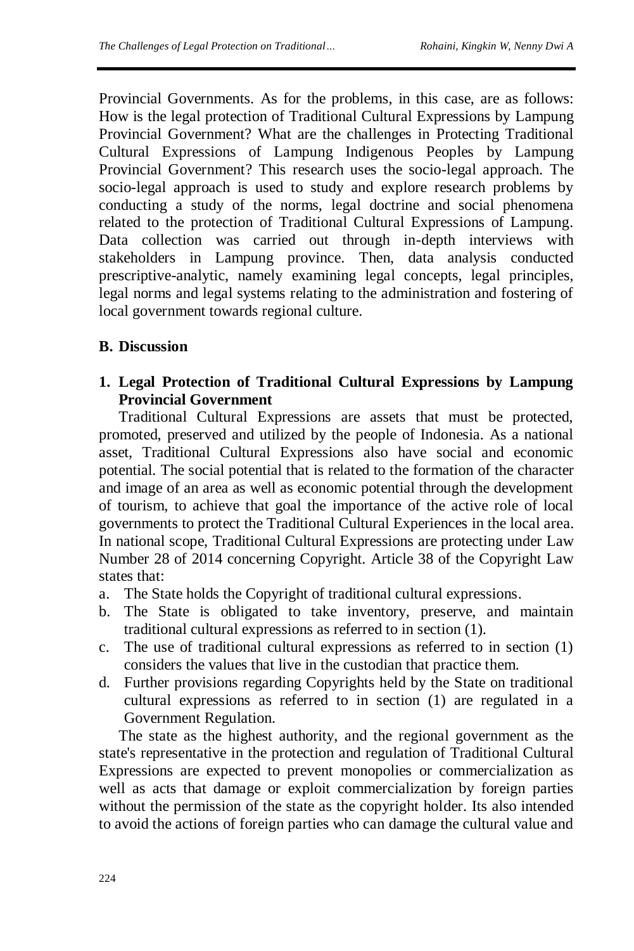Provincial Governments. As for the problems, in this case, are as follows: How is the legal protection of Traditional Cultural Expressions by Lampung Provincial Government? What are the challenges in Protecting Traditional Cultural Expressions of Lampung Indigenous Peoples by Lampung Provincial Government? This research uses the socio-legal approach. The socio-legal approach is used to study and explore research problems by conducting a study of the norms, legal doctrine and social phenomena related to the protection of Traditional Cultural Expressions of Lampung. Data collection was carried out through in-depth interviews with stakeholders in Lampung province. Then, data analysis conducted prescriptive-analytic, namely examining legal concepts, legal principles, legal norms and legal systems relating to the administration and fostering of local government towards regional culture.

## **B. Discussion**

## **1. Legal Protection of Traditional Cultural Expressions by Lampung Provincial Government**

Traditional Cultural Expressions are assets that must be protected, promoted, preserved and utilized by the people of Indonesia. As a national asset, Traditional Cultural Expressions also have social and economic potential. The social potential that is related to the formation of the character and image of an area as well as economic potential through the development of tourism, to achieve that goal the importance of the active role of local governments to protect the Traditional Cultural Experiences in the local area. In national scope, Traditional Cultural Expressions are protecting under Law Number 28 of 2014 concerning Copyright. Article 38 of the Copyright Law states that:

- a. The State holds the Copyright of traditional cultural expressions.
- b. The State is obligated to take inventory, preserve, and maintain traditional cultural expressions as referred to in section (1).
- c. The use of traditional cultural expressions as referred to in section (1) considers the values that live in the custodian that practice them.
- d. Further provisions regarding Copyrights held by the State on traditional cultural expressions as referred to in section (1) are regulated in a Government Regulation.

The state as the highest authority, and the regional government as the state's representative in the protection and regulation of Traditional Cultural Expressions are expected to prevent monopolies or commercialization as well as acts that damage or exploit commercialization by foreign parties without the permission of the state as the copyright holder. Its also intended to avoid the actions of foreign parties who can damage the cultural value and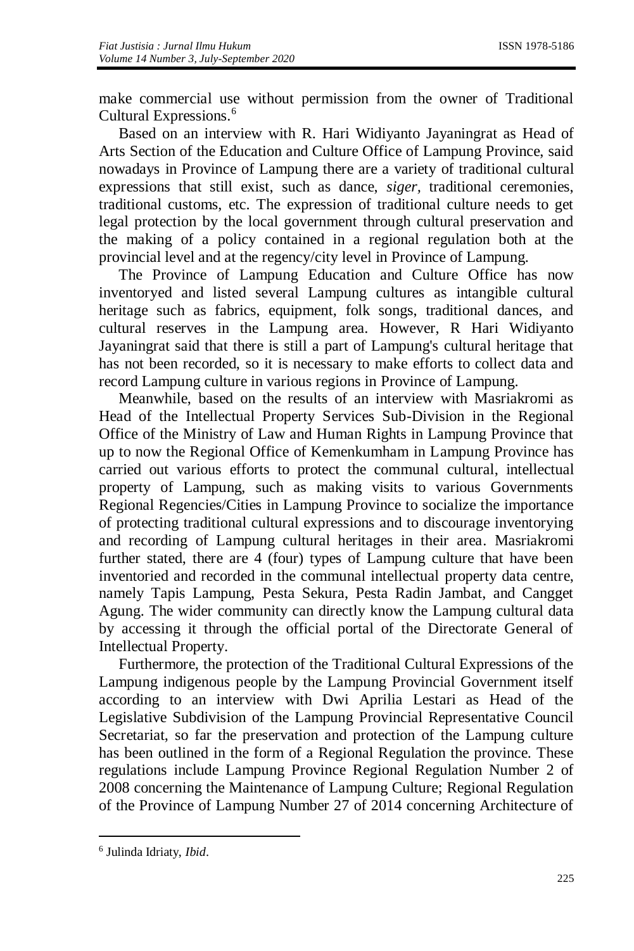make commercial use without permission from the owner of Traditional Cultural Expressions. 6

Based on an interview with R. Hari Widiyanto Jayaningrat as Head of Arts Section of the Education and Culture Office of Lampung Province, said nowadays in Province of Lampung there are a variety of traditional cultural expressions that still exist, such as dance, *siger,* traditional ceremonies, traditional customs, etc. The expression of traditional culture needs to get legal protection by the local government through cultural preservation and the making of a policy contained in a regional regulation both at the provincial level and at the regency/city level in Province of Lampung.

The Province of Lampung Education and Culture Office has now inventoryed and listed several Lampung cultures as intangible cultural heritage such as fabrics, equipment, folk songs, traditional dances, and cultural reserves in the Lampung area. However, R Hari Widiyanto Jayaningrat said that there is still a part of Lampung's cultural heritage that has not been recorded, so it is necessary to make efforts to collect data and record Lampung culture in various regions in Province of Lampung.

Meanwhile, based on the results of an interview with Masriakromi as Head of the Intellectual Property Services Sub-Division in the Regional Office of the Ministry of Law and Human Rights in Lampung Province that up to now the Regional Office of Kemenkumham in Lampung Province has carried out various efforts to protect the communal cultural, intellectual property of Lampung, such as making visits to various Governments Regional Regencies/Cities in Lampung Province to socialize the importance of protecting traditional cultural expressions and to discourage inventorying and recording of Lampung cultural heritages in their area. Masriakromi further stated, there are 4 (four) types of Lampung culture that have been inventoried and recorded in the communal intellectual property data centre, namely Tapis Lampung, Pesta Sekura, Pesta Radin Jambat, and Cangget Agung. The wider community can directly know the Lampung cultural data by accessing it through the official portal of the Directorate General of Intellectual Property.

Furthermore, the protection of the Traditional Cultural Expressions of the Lampung indigenous people by the Lampung Provincial Government itself according to an interview with Dwi Aprilia Lestari as Head of the Legislative Subdivision of the Lampung Provincial Representative Council Secretariat, so far the preservation and protection of the Lampung culture has been outlined in the form of a Regional Regulation the province. These regulations include Lampung Province Regional Regulation Number 2 of 2008 concerning the Maintenance of Lampung Culture; Regional Regulation of the Province of Lampung Number 27 of 2014 concerning Architecture of

<u>.</u>

<sup>6</sup> Julinda Idriaty, *Ibid*.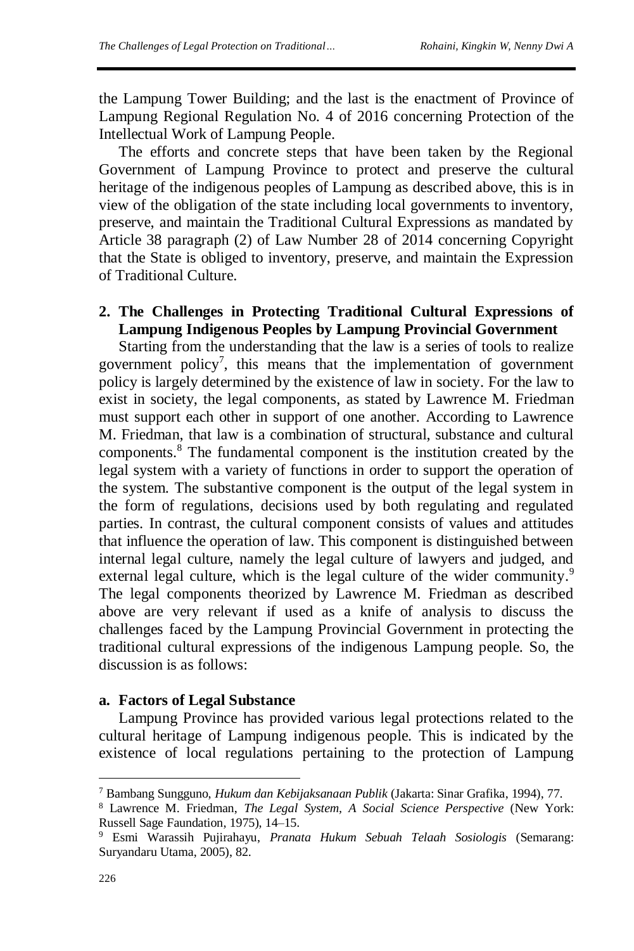the Lampung Tower Building; and the last is the enactment of Province of Lampung Regional Regulation No. 4 of 2016 concerning Protection of the Intellectual Work of Lampung People.

The efforts and concrete steps that have been taken by the Regional Government of Lampung Province to protect and preserve the cultural heritage of the indigenous peoples of Lampung as described above, this is in view of the obligation of the state including local governments to inventory, preserve, and maintain the Traditional Cultural Expressions as mandated by Article 38 paragraph (2) of Law Number 28 of 2014 concerning Copyright that the State is obliged to inventory, preserve, and maintain the Expression of Traditional Culture.

## **2. The Challenges in Protecting Traditional Cultural Expressions of Lampung Indigenous Peoples by Lampung Provincial Government**

Starting from the understanding that the law is a series of tools to realize government policy<sup>7</sup>, this means that the implementation of government policy is largely determined by the existence of law in society. For the law to exist in society, the legal components, as stated by Lawrence M. Friedman must support each other in support of one another. According to Lawrence M. Friedman, that law is a combination of structural, substance and cultural components. <sup>8</sup> The fundamental component is the institution created by the legal system with a variety of functions in order to support the operation of the system. The substantive component is the output of the legal system in the form of regulations, decisions used by both regulating and regulated parties. In contrast, the cultural component consists of values and attitudes that influence the operation of law. This component is distinguished between internal legal culture, namely the legal culture of lawyers and judged, and external legal culture, which is the legal culture of the wider community.<sup>9</sup> The legal components theorized by Lawrence M. Friedman as described above are very relevant if used as a knife of analysis to discuss the challenges faced by the Lampung Provincial Government in protecting the traditional cultural expressions of the indigenous Lampung people. So, the discussion is as follows:

#### **a. Factors of Legal Substance**

Lampung Province has provided various legal protections related to the cultural heritage of Lampung indigenous people. This is indicated by the existence of local regulations pertaining to the protection of Lampung

<u>.</u>

<sup>7</sup> Bambang Sungguno, *Hukum dan Kebijaksanaan Publik* (Jakarta: Sinar Grafika, 1994), 77.

<sup>8</sup> Lawrence M. Friedman, *The Legal System, A Social Science Perspective* (New York: Russell Sage Faundation, 1975), 14–15.

<sup>9</sup> Esmi Warassih Pujirahayu, *Pranata Hukum Sebuah Telaah Sosiologis* (Semarang: Suryandaru Utama, 2005), 82.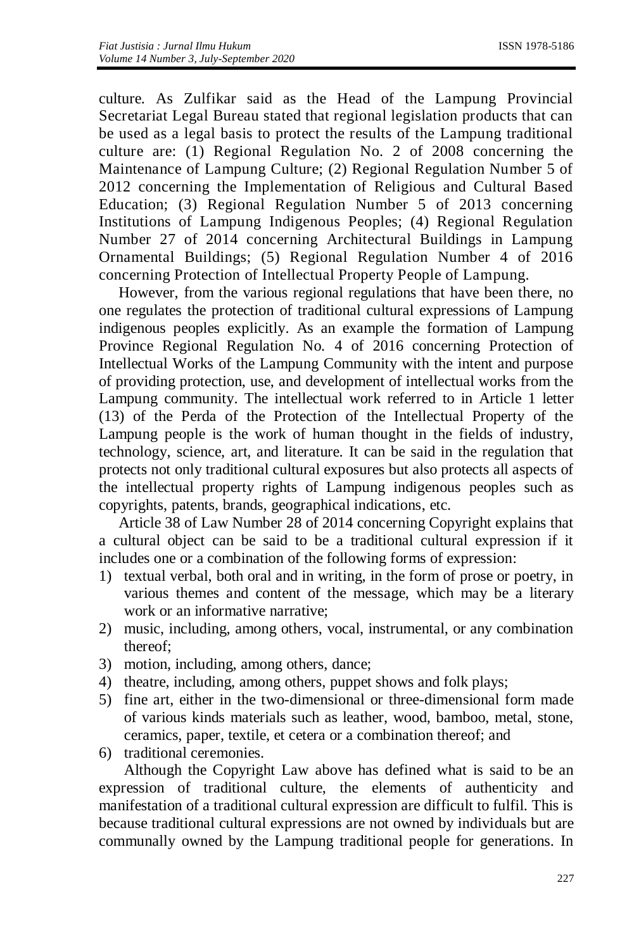culture. As Zulfikar said as the Head of the Lampung Provincial Secretariat Legal Bureau stated that regional legislation products that can be used as a legal basis to protect the results of the Lampung traditional culture are: (1) Regional Regulation No. 2 of 2008 concerning the Maintenance of Lampung Culture; (2) Regional Regulation Number 5 of 2012 concerning the Implementation of Religious and Cultural Based Education; (3) Regional Regulation Number 5 of 2013 concerning Institutions of Lampung Indigenous Peoples; (4) Regional Regulation Number 27 of 2014 concerning Architectural Buildings in Lampung Ornamental Buildings; (5) Regional Regulation Number 4 of 2016 concerning Protection of Intellectual Property People of Lampung.

However, from the various regional regulations that have been there, no one regulates the protection of traditional cultural expressions of Lampung indigenous peoples explicitly. As an example the formation of Lampung Province Regional Regulation No. 4 of 2016 concerning Protection of Intellectual Works of the Lampung Community with the intent and purpose of providing protection, use, and development of intellectual works from the Lampung community. The intellectual work referred to in Article 1 letter (13) of the Perda of the Protection of the Intellectual Property of the Lampung people is the work of human thought in the fields of industry, technology, science, art, and literature. It can be said in the regulation that protects not only traditional cultural exposures but also protects all aspects of the intellectual property rights of Lampung indigenous peoples such as copyrights, patents, brands, geographical indications, etc.

Article 38 of Law Number 28 of 2014 concerning Copyright explains that a cultural object can be said to be a traditional cultural expression if it includes one or a combination of the following forms of expression:

- 1) textual verbal, both oral and in writing, in the form of prose or poetry, in various themes and content of the message, which may be a literary work or an informative narrative:
- 2) music, including, among others, vocal, instrumental, or any combination thereof;
- 3) motion, including, among others, dance;
- 4) theatre, including, among others, puppet shows and folk plays;
- 5) fine art, either in the two-dimensional or three-dimensional form made of various kinds materials such as leather, wood, bamboo, metal, stone, ceramics, paper, textile, et cetera or a combination thereof; and
- 6) traditional ceremonies.

Although the Copyright Law above has defined what is said to be an expression of traditional culture, the elements of authenticity and manifestation of a traditional cultural expression are difficult to fulfil. This is because traditional cultural expressions are not owned by individuals but are communally owned by the Lampung traditional people for generations. In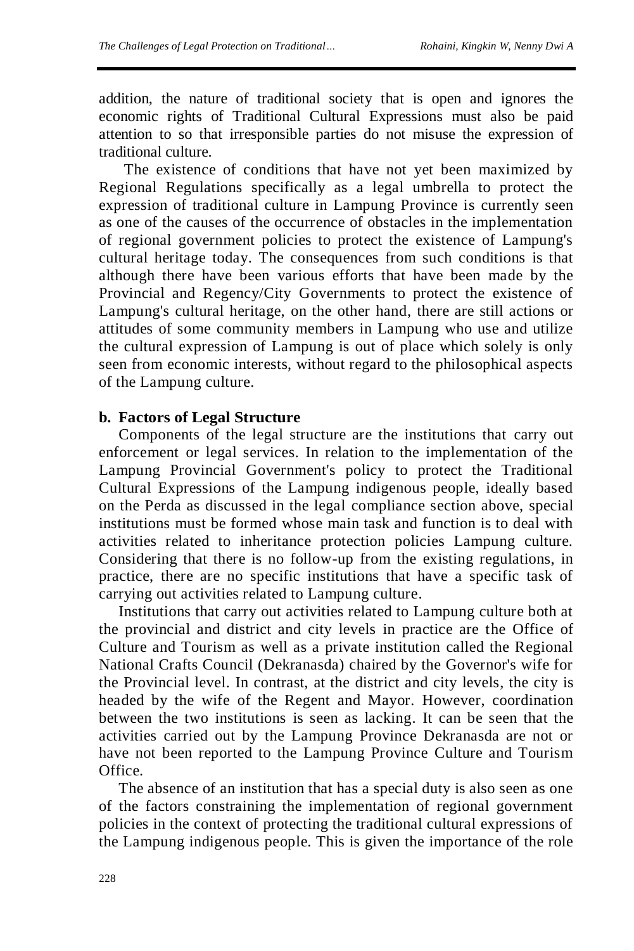addition, the nature of traditional society that is open and ignores the economic rights of Traditional Cultural Expressions must also be paid attention to so that irresponsible parties do not misuse the expression of traditional culture.

The existence of conditions that have not yet been maximized by Regional Regulations specifically as a legal umbrella to protect the expression of traditional culture in Lampung Province is currently seen as one of the causes of the occurrence of obstacles in the implementation of regional government policies to protect the existence of Lampung's cultural heritage today. The consequences from such conditions is that although there have been various efforts that have been made by the Provincial and Regency/City Governments to protect the existence of Lampung's cultural heritage, on the other hand, there are still actions or attitudes of some community members in Lampung who use and utilize the cultural expression of Lampung is out of place which solely is only seen from economic interests, without regard to the philosophical aspects of the Lampung culture.

#### **b. Factors of Legal Structure**

Components of the legal structure are the institutions that carry out enforcement or legal services. In relation to the implementation of the Lampung Provincial Government's policy to protect the Traditional Cultural Expressions of the Lampung indigenous people, ideally based on the Perda as discussed in the legal compliance section above, special institutions must be formed whose main task and function is to deal with activities related to inheritance protection policies Lampung culture. Considering that there is no follow-up from the existing regulations, in practice, there are no specific institutions that have a specific task of carrying out activities related to Lampung culture.

Institutions that carry out activities related to Lampung culture both at the provincial and district and city levels in practice are the Office of Culture and Tourism as well as a private institution called the Regional National Crafts Council (Dekranasda) chaired by the Governor's wife for the Provincial level. In contrast, at the district and city levels, the city is headed by the wife of the Regent and Mayor. However, coordination between the two institutions is seen as lacking. It can be seen that the activities carried out by the Lampung Province Dekranasda are not or have not been reported to the Lampung Province Culture and Tourism Office.

The absence of an institution that has a special duty is also seen as one of the factors constraining the implementation of regional government policies in the context of protecting the traditional cultural expressions of the Lampung indigenous people. This is given the importance of the role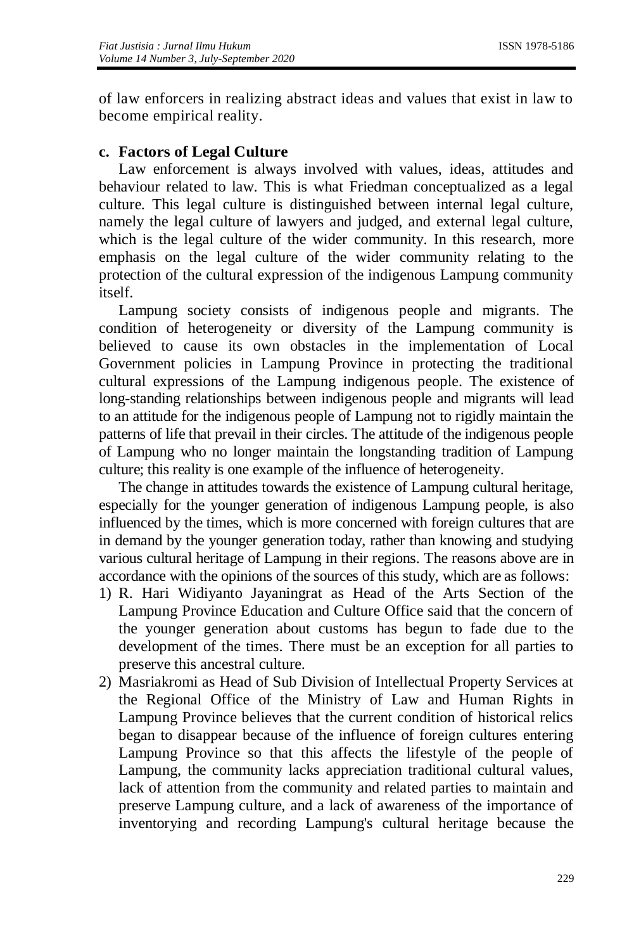of law enforcers in realizing abstract ideas and values that exist in law to become empirical reality.

#### **c. Factors of Legal Culture**

Law enforcement is always involved with values, ideas, attitudes and behaviour related to law. This is what Friedman conceptualized as a legal culture. This legal culture is distinguished between internal legal culture, namely the legal culture of lawyers and judged, and external legal culture, which is the legal culture of the wider community. In this research, more emphasis on the legal culture of the wider community relating to the protection of the cultural expression of the indigenous Lampung community itself.

Lampung society consists of indigenous people and migrants. The condition of heterogeneity or diversity of the Lampung community is believed to cause its own obstacles in the implementation of Local Government policies in Lampung Province in protecting the traditional cultural expressions of the Lampung indigenous people. The existence of long-standing relationships between indigenous people and migrants will lead to an attitude for the indigenous people of Lampung not to rigidly maintain the patterns of life that prevail in their circles. The attitude of the indigenous people of Lampung who no longer maintain the longstanding tradition of Lampung culture; this reality is one example of the influence of heterogeneity.

The change in attitudes towards the existence of Lampung cultural heritage, especially for the younger generation of indigenous Lampung people, is also influenced by the times, which is more concerned with foreign cultures that are in demand by the younger generation today, rather than knowing and studying various cultural heritage of Lampung in their regions. The reasons above are in accordance with the opinions of the sources of this study, which are as follows:

- 1) R. Hari Widiyanto Jayaningrat as Head of the Arts Section of the Lampung Province Education and Culture Office said that the concern of the younger generation about customs has begun to fade due to the development of the times. There must be an exception for all parties to preserve this ancestral culture.
- 2) Masriakromi as Head of Sub Division of Intellectual Property Services at the Regional Office of the Ministry of Law and Human Rights in Lampung Province believes that the current condition of historical relics began to disappear because of the influence of foreign cultures entering Lampung Province so that this affects the lifestyle of the people of Lampung, the community lacks appreciation traditional cultural values, lack of attention from the community and related parties to maintain and preserve Lampung culture, and a lack of awareness of the importance of inventorying and recording Lampung's cultural heritage because the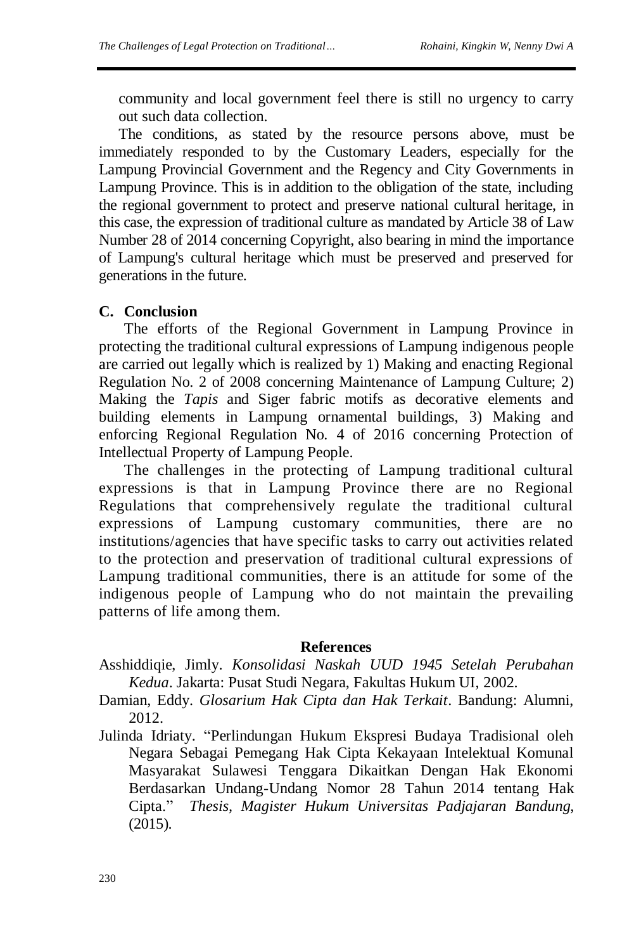community and local government feel there is still no urgency to carry out such data collection.

The conditions, as stated by the resource persons above, must be immediately responded to by the Customary Leaders, especially for the Lampung Provincial Government and the Regency and City Governments in Lampung Province. This is in addition to the obligation of the state, including the regional government to protect and preserve national cultural heritage, in this case, the expression of traditional culture as mandated by Article 38 of Law Number 28 of 2014 concerning Copyright, also bearing in mind the importance of Lampung's cultural heritage which must be preserved and preserved for generations in the future.

#### **C. Conclusion**

The efforts of the Regional Government in Lampung Province in protecting the traditional cultural expressions of Lampung indigenous people are carried out legally which is realized by 1) Making and enacting Regional Regulation No. 2 of 2008 concerning Maintenance of Lampung Culture; 2) Making the *Tapis* and Siger fabric motifs as decorative elements and building elements in Lampung ornamental buildings, 3) Making and enforcing Regional Regulation No. 4 of 2016 concerning Protection of Intellectual Property of Lampung People.

The challenges in the protecting of Lampung traditional cultural expressions is that in Lampung Province there are no Regional Regulations that comprehensively regulate the traditional cultural expressions of Lampung customary communities, there are no institutions/agencies that have specific tasks to carry out activities related to the protection and preservation of traditional cultural expressions of Lampung traditional communities, there is an attitude for some of the indigenous people of Lampung who do not maintain the prevailing patterns of life among them.

#### **References**

- Asshiddiqie, Jimly. *Konsolidasi Naskah UUD 1945 Setelah Perubahan Kedua*. Jakarta: Pusat Studi Negara, Fakultas Hukum UI, 2002.
- Damian, Eddy. *Glosarium Hak Cipta dan Hak Terkait*. Bandung: Alumni, 2012.
- Julinda Idriaty. "Perlindungan Hukum Ekspresi Budaya Tradisional oleh Negara Sebagai Pemegang Hak Cipta Kekayaan Intelektual Komunal Masyarakat Sulawesi Tenggara Dikaitkan Dengan Hak Ekonomi Berdasarkan Undang-Undang Nomor 28 Tahun 2014 tentang Hak Cipta." *Thesis, Magister Hukum Universitas Padjajaran Bandung*, (2015).